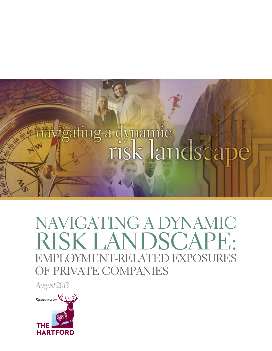

# NAVIGATING A DYNAMIC RISK LANDSCAPE: EMPLOYMENT-RELATED EXPOSURES OF PRIVATE COMPANIES

*August 2013*

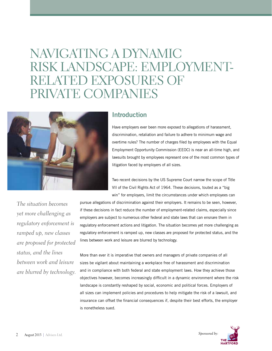# NAVIGATING A DYNAMIC Risk Landscape: Employmentrelated Exposures of PRIVATE COMPANIES



### **Introduction**

Have employers ever been more exposed to allegations of harassment, discrimination, retaliation and failure to adhere to minimum wage and overtime rules? The number of charges filed by employees with the Equal Employment Opportunity Commission (EEOC) is near an all-time high, and lawsuits brought by employees represent one of the most common types of litigation faced by employers of all sizes.

Two recent decisions by the US Supreme Court narrow the scope of Title VII of the Civil Rights Act of 1964. These decisions, touted as a "big win" for employers, limit the circumstances under which employees can

*The situation becomes yet more challenging as regulatory enforcement is ramped up, new classes are proposed for protected status, and the lines between work and leisure are blurred by technology.* pursue allegations of discrimination against their employers. It remains to be seen, however, if these decisions in fact reduce the number of employment-related claims, especially since employers are subject to numerous other federal and state laws that can ensnare them in regulatory enforcement actions and litigation. The situation becomes yet more challenging as regulatory enforcement is ramped up, new classes are proposed for protected status, and the lines between work and leisure are blurred by technology.

More than ever it is imperative that owners and managers of private companies of all sizes be vigilant about maintaining a workplace free of harassment and discrimination and in compliance with both federal and state employment laws. How they achieve those objectives however, becomes increasingly difficult in a dynamic environment where the risk landscape is constantly reshaped by social, economic and political forces. Employers of all sizes can implement policies and procedures to help mitigate the risk of a lawsuit, and insurance can offset the financial consequences if, despite their best efforts, the employer is nonetheless sued.

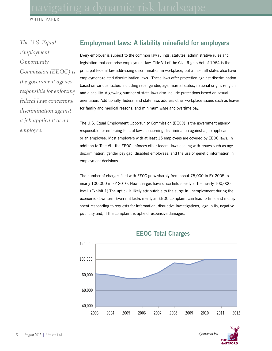*The U.S. Equal Employment Opportunity Commission (EEOC) is the government agency responsible for enforcing federal laws concerning discrimination against a job applicant or an employee.*

## **Employment laws: A liability minefield for employers**

Every employer is subject to the common law rulings, statutes, administrative rules and legislation that comprise employment law. Title VII of the Civil Rights Act of 1964 is the principal federal law addressing discrimination in workplace, but almost all states also have employment-related discrimination laws. These laws offer protection against discrimination based on various factors including race, gender, age, marital status, national origin, religion and disability. A growing number of state laws also include protections based on sexual orientation. Additionally, federal and state laws address other workplace issues such as leaves for family and medical reasons, and minimum wage and overtime pay.

The U.S. Equal Employment Opportunity Commission (EEOC) is the government agency responsible for enforcing federal laws concerning discrimination against a job applicant or an employee. Most employers with at least 15 employees are covered by EEOC laws. In addition to Title VII, the EEOC enforces other federal laws dealing with issues such as age discrimination, gender pay gap, disabled employees, and the use of genetic information in employment decisions.

The number of charges filed with EEOC grew sharply from about 75,000 in FY 2005 to nearly 100,000 in FY 2010. New charges have since held steady at the nearly 100,000 level. (Exhibit 1) The uptick is likely attributable to the surge in unemployment during the economic downturn. Even if it lacks merit, an EEOC complaint can lead to time and money spent responding to requests for information, disruptive investigations, legal bills, negative publicity and, if the complaint is upheld, expensive damages.



### **EEOC Total Charges**

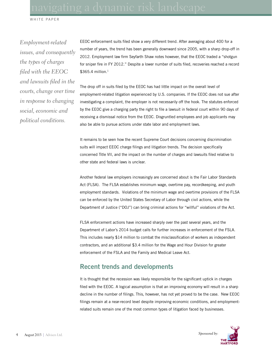*Employment-related issues, and consequently the types of charges filed with the EEOC and lawsuits filed in the courts, change over time in response to changing social, economic and political conditions.* 

EEOC enforcement suits filed show a very different trend. After averaging about 400 for a number of years, the trend has been generally downward since 2005, with a sharp drop-off in 2012. Employment law firm Seyfarth Shaw notes however, that the EEOC traded a "shotgun for sniper fire in FY 2012." Despite a lower number of suits filed, recoveries reached a record  $$365.4$  million.<sup>1</sup>

The drop off in suits filed by the EEOC has had little impact on the overall level of employment-related litigation experienced by U.S. companies. If the EEOC does not sue after investigating a complaint, the employer is not necessarily off the hook. The statutes enforced by the EEOC give a charging party the right to file a lawsuit in federal court within 90 days of receiving a dismissal notice from the EEOC. Disgruntled employees and job applicants may also be able to pursue actions under state labor and employment laws.

It remains to be seen how the recent Supreme Court decisions concerning discrimination suits will impact EEOC charge filings and litigation trends. The decision specifically concerned Title VII, and the impact on the number of charges and lawsuits filed relative to other state and federal laws is unclear.

Another federal law employers increasingly are concerned about is the Fair Labor Standards Act (FLSA). The FLSA establishes minimum wage, overtime pay, recordkeeping, and youth employment standards. Violations of the minimum wage and overtime provisions of the FLSA can be enforced by the United States Secretary of Labor through civil actions, while the Department of Justice ("DOJ") can bring criminal actions for "willful" violations of the Act.

FLSA enforcement actions have increased sharply over the past several years, and the Department of Labor's 2014 budget calls for further increases in enforcement of the FSLA. This includes nearly \$14 million to combat the misclassification of workers as independent contractors, and an additional \$3.4 million for the Wage and Hour Division for greater enforcement of the FSLA and the Family and Medical Leave Act.

### **Recent trends and developments**

It is thought that the recession was likely responsible for the significant uptick in charges filed with the EEOC. A logical assumption is that an improving economy will result in a sharp decline in the number of filings. This, however, has not yet proved to be the case. New EEOC filings remain at a near-record level despite improving economic conditions, and employmentrelated suits remain one of the most common types of litigation faced by businesses.

*Sponsored by:*

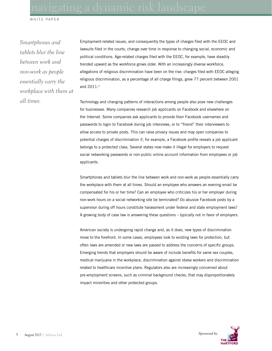*Smartphones and tablets blur the line between work and non-work as people essentially carry the workplace with them at all times.*

Employment-related issues, and consequently the types of charges filed with the EEOC and lawsuits filed in the courts, change over time in response to changing social, economic and political conditions. Age-related charges filed with the EEOC, for example, have steadily trended upward as the workforce grows older. With an increasingly diverse workforce, allegations of religious discrimination have been on the rise: charges filed with EEOC alleging religious discrimination, as a percentage of all charge filings, grew 77 percent between 2001 and 2011.<sup>2</sup>

Technology and changing patterns of interactions among people also pose new challenges for businesses. Many companies research job applicants on Facebook and elsewhere on the Internet. Some companies ask applicants to provide their Facebook usernames and passwords to login to Facebook during job interviews, or to "friend" their interviewers to allow access to private posts. This can raise privacy issues and may open companies to potential charges of discrimination if, for example, a Facebook profile reveals a job applicant belongs to a protected class. Several states now make it illegal for employers to request social networking passwords or non-public online account information from employees or job applicants.

Smartphones and tablets blur the line between work and non-work as people essentially carry the workplace with them at all times. Should an employee who answers an evening email be compensated for his or her time? Can an employee who criticizes his or her employer during non-work hours on a social networking site be terminated? Do abusive Facebook posts by a supervisor during off hours constitute harassment under federal and state employment laws? A growing body of case law is answering these questions – typically not in favor of employers.

American society is undergoing rapid change and, as it does, new types of discrimination move to the forefront. In some cases, employees look to existing laws for protection, but often laws are amended or new laws are passed to address the concerns of specific groups. Emerging trends that employers should be aware of include benefits for same sex couples, medical marijuana in the workplace, discrimination against obese workers and discrimination related to healthcare incentive plans. Regulators also are increasingly concerned about pre-employment screens, such as criminal background checks, that may disproportionately impact minorities and other protected groups.

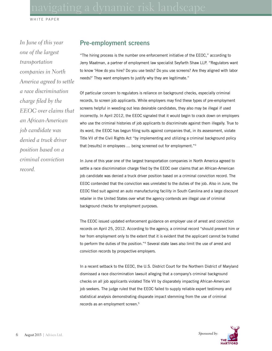*In June of this year one of the largest transportation companies in North America agreed to settle a race discrimination charge filed by the EEOC over claims that an African-American job candidate was denied a truck driver position based on a criminal conviction record.*

### **Pre-employment screens**

"The hiring process is the number one enforcement initiative of the EEOC," according to Jerry Maatman, a partner of employment law specialist Seyfarth Shaw LLP. "Regulators want to know 'How do you hire? Do you use tests? Do you use screens? Are they aligned with labor needs?' They want employers to justify why they are legitimate."

Of particular concern to regulators is reliance on background checks, especially criminal records, to screen job applicants. While employers may find these types of pre-employment screens helpful in weeding out less desirable candidates, they also may be illegal if used incorrectly. In April 2012, the EEOC signaled that it would begin to crack down on employers who use the criminal histories of job applicants to discriminate against them illegally. True to its word, the EEOC has begun filing suits against companies that, in its assessment, violate Title VII of the Civil Rights Act "by implementing and utilizing a criminal background policy that [results] in employees … being screened out for employment."3

In June of this year one of the largest transportation companies in North America agreed to settle a race discrimination charge filed by the EEOC over claims that an African-American job candidate was denied a truck driver position based on a criminal conviction record. The EEOC contended that the conviction was unrelated to the duties of the job. Also in June, the EEOC filed suit against an auto manufacturing facility in South Carolina and a large discount retailer in the United States over what the agency contends are illegal use of criminal background checks for employment purposes.

The EEOC issued updated enforcement guidance on employer use of arrest and conviction records on April 25, 2012. According to the agency, a criminal record "should prevent him or her from employment only to the extent that it is evident that the applicant cannot be trusted to perform the duties of the position."4 Several state laws also limit the use of arrest and conviction records by prospective employers.

In a recent setback to the EEOC, the U.S. District Court for the Northern District of Maryland dismissed a race discrimination lawsuit alleging that a company's criminal background checks on all job applicants violated Title VII by disparately impacting African-American job seekers. The judge ruled that the EEOC failed to supply reliable expert testimony and statistical analysis demonstrating disparate impact stemming from the use of criminal records as an employment screen.5

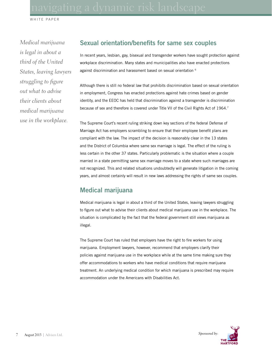*Medical marijuana is legal in about a third of the United States, leaving lawyers struggling to figure out what to advise their clients about medical marijuana use in the workplace.*

### **Sexual orientation/benefits for same sex couples**

In recent years, lesbian, gay, bisexual and transgender workers have sought protection against workplace discrimination. Many states and municipalities also have enacted protections against discrimination and harassment based on sexual orientation <sup>6</sup>

Although there is still no federal law that prohibits discrimination based on sexual orientation in employment, Congress has enacted protections against hate crimes based on gender identity, and the EEOC has held that discrimination against a transgender is discrimination because of sex and therefore is covered under Title VII of the Civil Rights Act of 1964.7

The Supreme Court's recent ruling striking down key sections of the federal Defense of Marriage Act has employers scrambling to ensure that their employee benefit plans are compliant with the law. The impact of the decision is reasonably clear in the 13 states and the District of Columbia where same sex marriage is legal. The effect of the ruling is less certain in the other 37 states. Particularly problematic is the situation where a couple married in a state permitting same sex marriage moves to a state where such marriages are not recognized. This and related situations undoubtedly will generate litigation in the coming years, and almost certainly will result in new laws addressing the rights of same sex couples.

## **Medical marijuana**

Medical marijuana is legal in about a third of the United States, leaving lawyers struggling to figure out what to advise their clients about medical marijuana use in the workplace. The situation is complicated by the fact that the federal government still views marijuana as illegal.

The Supreme Court has ruled that employers have the right to fire workers for using marijuana. Employment lawyers, however, recommend that employers clarify their policies against marijuana use in the workplace while at the same time making sure they offer accommodations to workers who have medical conditions that require marijuana treatment. An underlying medical condition for which marijuana is prescribed may require accommodation under the Americans with Disabilities Act.

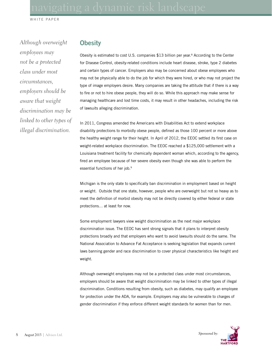*Although overweight employees may not be a protected class under most circumstances, employers should be aware that weight discrimination may be linked to other types of illegal discrimination.*

### **Obesity**

Obesity is estimated to cost U.S. companies \$13 billion per year.<sup>8</sup> According to the Center for Disease Control, obesity-related conditions include heart disease, stroke, type 2 diabetes and certain types of cancer. Employers also may be concerned about obese employees who may not be physically able to do the job for which they were hired, or who may not project the type of image employers desire. Many companies are taking the attitude that if there is a way to fire or not to hire obese people, they will do so. While this approach may make sense for managing healthcare and lost time costs, it may result in other headaches, including the risk of lawsuits alleging discrimination.

In 2011, Congress amended the Americans with Disabilities Act to extend workplace disability protections to morbidly obese people, defined as those 100 percent or more above the healthy weight range for their height. In April of 2012, the EEOC settled its first case on weight-related workplace discrimination. The EEOC reached a \$125,000 settlement with a Louisiana treatment facility for chemically dependent woman which, according to the agency, fired an employee because of her severe obesity even though she was able to perform the essential functions of her job.9

Michigan is the only state to specifically ban discrimination in employment based on height or weight. Outside that one state, however, people who are overweight but not so heavy as to meet the definition of morbid obesity may not be directly covered by either federal or state protections… at least for now.

Some employment lawyers view weight discrimination as the next major workplace discrimination issue. The EEOC has sent strong signals that it plans to interpret obesity protections broadly and that employers who want to avoid lawsuits should do the same. The National Association to Advance Fat Acceptance is seeking legislation that expands current laws banning gender and race discrimination to cover physical characteristics like height and weight.

Although overweight employees may not be a protected class under most circumstances, employers should be aware that weight discrimination may be linked to other types of illegal discrimination. Conditions resulting from obesity, such as diabetes, may qualify an employee for protection under the ADA, for example. Employers may also be vulnerable to charges of gender discrimination if they enforce different weight standards for women than for men.

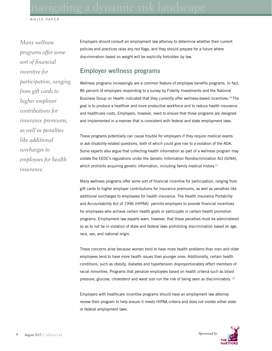*Many wellness programs offer some sort of financial incentive for participation, ranging from gift cards to higher employer contributions for insurance premiums, as well as penalties like additional surcharges to employees for health insurance.*

Employers should consult an employment law attorney to determine whether their current policies and practices raise any red flags, and they should prepare for a future where discrimination based on weight will be explicitly forbidden by law.

### **Employer wellness programs**

Wellness programs increasingly are a common feature of employee benefits programs. In fact, 86 percent of employers responding to a survey by Fidelity Investments and the National Business Group on Health indicated that they currently offer wellness-based incentives.<sup>10</sup> The goal is to produce a healthier and more productive workforce and to reduce health insurance and healthcare costs. Employers, however, need to ensure that those programs are designed and implemented in a manner that is consistent with federal and state employment laws.

These programs potentially can cause trouble for employers if they require medical exams or ask disability-related questions, both of which could give rise to a violation of the ADA. Some experts also argue that collecting health information as part of a wellness program may violate the EEOC's regulations under the Genetic Information Nondiscrimination Act (GINA), which prohibits acquiring genetic information, including family medical history.<sup>11</sup>

Many wellness programs offer some sort of financial incentive for participation, ranging from gift cards to higher employer contributions for insurance premiums, as well as penalties like additional surcharges to employees for health insurance. The Health Insurance Portability and Accountability Act of 1996 (HIPAA) permits employers to provide financial incentives for employees who achieve certain health goals or participate in certain health promotion programs. Employment law experts warn, however, that these penalties must be administered so as to not be in violation of state and federal laws prohibiting discrimination based on age, race, sex, and national origin.

These concerns arise because women tend to have more health problems than men and older employees tend to have more health issues than younger ones. Additionally, certain health conditions, such as obesity, diabetes and hypertension disproportionately affect members of racial minorities. Programs that penalize employees based on health criteria such as blood pressure, glucose, cholesterol and waist size run the risk of being seen as discriminatory. 12

Employers with healthcare incentive programs should have an employment law attorney review their program to help ensure it meets HIPAA criteria and does not violate either state or federal employment laws.

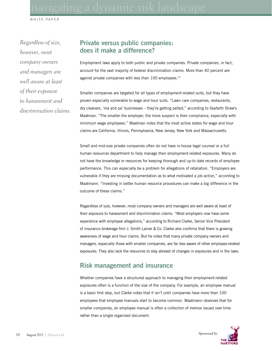*Regardless of size, however, most company owners and managers are well aware at least of their exposure to harassment and discrimination claims.*

### **Private versus public companies: does it make a difference?**

Employment laws apply to both public and private companies. Private companies, in fact, account for the vast majority of federal discrimination claims. More than 40 percent are against private companies with less than 100 employees.<sup>13</sup>

Smaller companies are targeted for all types of employment-related suits, but they have proven especially vulnerable to wage and hour suits. "Lawn care companies, restaurants, dry cleaners, 'ma and pa' businesses – they're getting pelted," according to Seyfarth Shaw's Maatman. "The smaller the employer, the more suspect is their compliance, especially with minimum wage employees." Maatman notes that the most active states for wage and hour claims are California, Illinois, Pennsylvania, New Jersey, New York and Massachusetts.

Small and mid-size private companies often do not have in-house legal counsel or a full human resources department to help manage their employment-related exposures. Many do not have the knowledge or resources for keeping thorough and up-to date records of employee performance. This can especially be a problem for allegations of retaliation. "Employers are vulnerable if they are missing documentation as to what motivated a job action," according to Maatmann. "Investing in better human resource procedures can make a big difference in the outcome of these claims."

Regardless of size, however, most company owners and managers are well aware at least of their exposure to harassment and discrimination claims. "Most employers now have some experience with employee allegations," according to Richard Clarke, Senior Vice President of insurance brokerage firm J. Smith Lanier & Co. Clarke also confirms that there is growing awareness of wage and hour claims. But he notes that many private company owners and managers, especially those with smaller companies, are far less aware of other employee-related exposures. They also lack the resources to stay abreast of changes in exposures and in the laws.

### **Risk management and insurance**

Whether companies have a structured approach to managing their employment-related exposures often is a function of the size of the company. For example, an employee manual is a basic first step, but Clarke notes that it isn't until companies have more than 100 employees that employee manuals start to become common. Maatmann observes that for smaller companies, an employee manual is often a collection of memos issued over time rather than a single organized document.

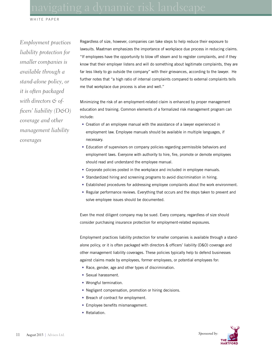*Employment practices liability protection for smaller companies is available through a stand-alone policy, or it is often packaged with directors & officers' liability (D&O) coverage and other management liability coverages*

Regardless of size, however, companies can take steps to help reduce their exposure to lawsuits. Maatman emphasizes the importance of workplace due process in reducing claims. "If employees have the opportunity to blow off steam and to register complaints, and if they know that their employer listens and will do something about legitimate complaints, they are far less likely to go outside the company" with their grievances, according to the lawyer. He further notes that "a high ratio of internal complaints compared to external complaints tells me that workplace due process is alive and well."

Minimizing the risk of an employment-related claim is enhanced by proper management education and training. Common elements of a formalized risk management program can include:

- Creation of an employee manual with the assistance of a lawyer experienced in employment law. Employee manuals should be available in multiple languages, if necessary.
- Education of supervisors on company policies regarding permissible behaviors and employment laws. Everyone with authority to hire, fire, promote or demote employees should read and understand the employee manual.
- Corporate policies posted in the workplace and included in employee manuals.
- Standardized hiring and screening programs to avoid discrimination in hiring.
- Established procedures for addressing employee complaints about the work environment.
- Regular performance reviews. Everything that occurs and the steps taken to prevent and solve employee issues should be documented.

Even the most diligent company may be sued. Every company, regardless of size should consider purchasing insurance protection for employment-related exposures.

Employment practices liability protection for smaller companies is available through a standalone policy, or it is often packaged with directors & officers' liability (D&O) coverage and other management liability coverages. These policies typically help to defend businesses against claims made by employees, former employees, or potential employees for:

- Race, gender, age and other types of discrimination.
- Sexual harassment.
- Wrongful termination.
- Negligent compensation, promotion or hiring decisions.
- Breach of contract for employment.
- Employee benefits mismanagement.
- Retaliation.

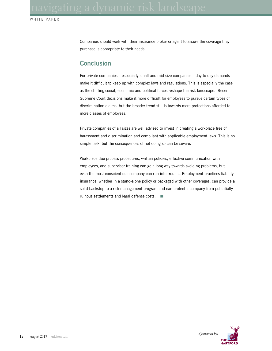Companies should work with their insurance broker or agent to assure the coverage they purchase is appropriate to their needs.

### **Conclusion**

For private companies – especially small and mid-size companies – day-to-day demands make it difficult to keep up with complex laws and regulations. This is especially the case as the shifting social, economic and political forces reshape the risk landscape. Recent Supreme Court decisions make it more difficult for employees to pursue certain types of discrimination claims, but the broader trend still is towards more protections afforded to more classes of employees.

Private companies of all sizes are well advised to invest in creating a workplace free of harassment and discrimination and compliant with applicable employment laws. This is no simple task, but the consequences of not doing so can be severe.

Workplace due process procedures, written policies, effective communication with employees, and supervisor training can go a long way towards avoiding problems, but even the most conscientious company can run into trouble. Employment practices liability insurance, whether in a stand-alone policy or packaged with other coverages, can provide a solid backstop to a risk management program and can protect a company from potentially ruinous settlements and legal defense costs.  $\Box$